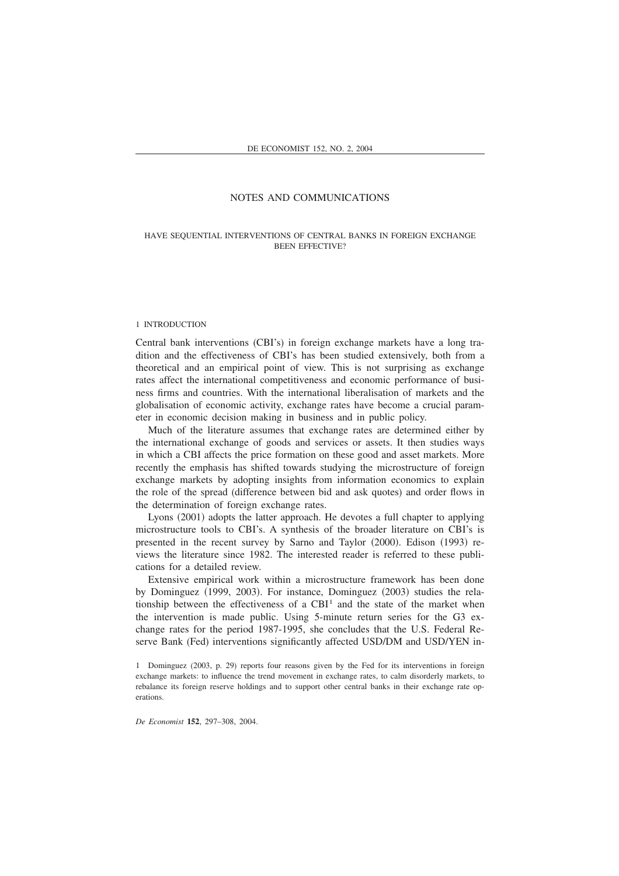## HAVE SEQUENTIAL INTERVENTIONS OF CENTRAL BANKS IN FOREIGN EXCHANGE BEEN EFFECTIVE?

#### 1 INTRODUCTION

Central bank interventions (CBI's) in foreign exchange markets have a long tradition and the effectiveness of CBI's has been studied extensively, both from a theoretical and an empirical point of view. This is not surprising as exchange rates affect the international competitiveness and economic performance of business firms and countries. With the international liberalisation of markets and the globalisation of economic activity, exchange rates have become a crucial parameter in economic decision making in business and in public policy.

Much of the literature assumes that exchange rates are determined either by the international exchange of goods and services or assets. It then studies ways in which a CBI affects the price formation on these good and asset markets. More recently the emphasis has shifted towards studying the microstructure of foreign exchange markets by adopting insights from information economics to explain the role of the spread (difference between bid and ask quotes) and order flows in the determination of foreign exchange rates.

Lyons (2001) adopts the latter approach. He devotes a full chapter to applying microstructure tools to CBI's. A synthesis of the broader literature on CBI's is presented in the recent survey by Sarno and Taylor (2000). Edison (1993) reviews the literature since 1982. The interested reader is referred to these publications for a detailed review.

Extensive empirical work within a microstructure framework has been done by Dominguez (1999, 2003). For instance, Dominguez (2003) studies the relationship between the effectiveness of a  $CBI<sup>1</sup>$  and the state of the market when the intervention is made public. Using 5-minute return series for the G3 exchange rates for the period 1987-1995, she concludes that the U.S. Federal Reserve Bank (Fed) interventions significantly affected USD/DM and USD/YEN in-

*De Economist* **152**, 297–308, 2004.

<sup>1</sup> Dominguez (2003, p. 29) reports four reasons given by the Fed for its interventions in foreign exchange markets: to influence the trend movement in exchange rates, to calm disorderly markets, to rebalance its foreign reserve holdings and to support other central banks in their exchange rate operations.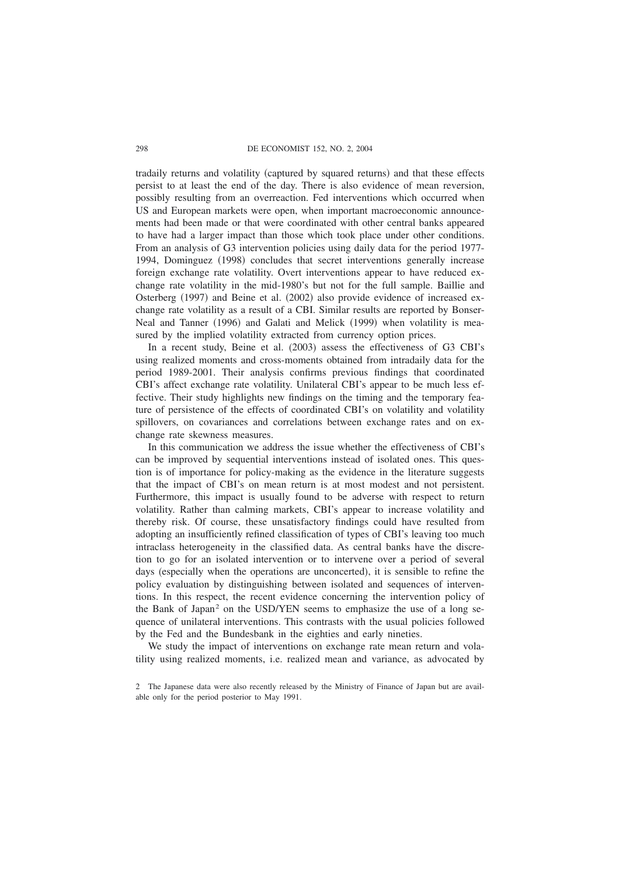### 298 DE ECONOMIST 152, NO. 2, 2004

tradaily returns and volatility (captured by squared returns) and that these effects persist to at least the end of the day. There is also evidence of mean reversion, possibly resulting from an overreaction. Fed interventions which occurred when US and European markets were open, when important macroeconomic announcements had been made or that were coordinated with other central banks appeared to have had a larger impact than those which took place under other conditions. From an analysis of G3 intervention policies using daily data for the period 1977- 1994, Dominguez (1998) concludes that secret interventions generally increase foreign exchange rate volatility. Overt interventions appear to have reduced exchange rate volatility in the mid-1980's but not for the full sample. Baillie and Osterberg  $(1997)$  and Beine et al.  $(2002)$  also provide evidence of increased exchange rate volatility as a result of a CBI. Similar results are reported by Bonser-Neal and Tanner (1996) and Galati and Melick (1999) when volatility is measured by the implied volatility extracted from currency option prices.

In a recent study, Beine et al. (2003) assess the effectiveness of G3 CBI's using realized moments and cross-moments obtained from intradaily data for the period 1989-2001. Their analysis confirms previous findings that coordinated CBI's affect exchange rate volatility. Unilateral CBI's appear to be much less effective. Their study highlights new findings on the timing and the temporary feature of persistence of the effects of coordinated CBI's on volatility and volatility spillovers, on covariances and correlations between exchange rates and on exchange rate skewness measures.

In this communication we address the issue whether the effectiveness of CBI's can be improved by sequential interventions instead of isolated ones. This question is of importance for policy-making as the evidence in the literature suggests that the impact of CBI's on mean return is at most modest and not persistent. Furthermore, this impact is usually found to be adverse with respect to return volatility. Rather than calming markets, CBI's appear to increase volatility and thereby risk. Of course, these unsatisfactory findings could have resulted from adopting an insufficiently refined classification of types of CBI's leaving too much intraclass heterogeneity in the classified data. As central banks have the discretion to go for an isolated intervention or to intervene over a period of several days (especially when the operations are unconcerted), it is sensible to refine the policy evaluation by distinguishing between isolated and sequences of interventions. In this respect, the recent evidence concerning the intervention policy of the Bank of Japan<sup>2</sup> on the USD/YEN seems to emphasize the use of a long sequence of unilateral interventions. This contrasts with the usual policies followed by the Fed and the Bundesbank in the eighties and early nineties.

We study the impact of interventions on exchange rate mean return and volatility using realized moments, i.e. realized mean and variance, as advocated by

<sup>2</sup> The Japanese data were also recently released by the Ministry of Finance of Japan but are available only for the period posterior to May 1991.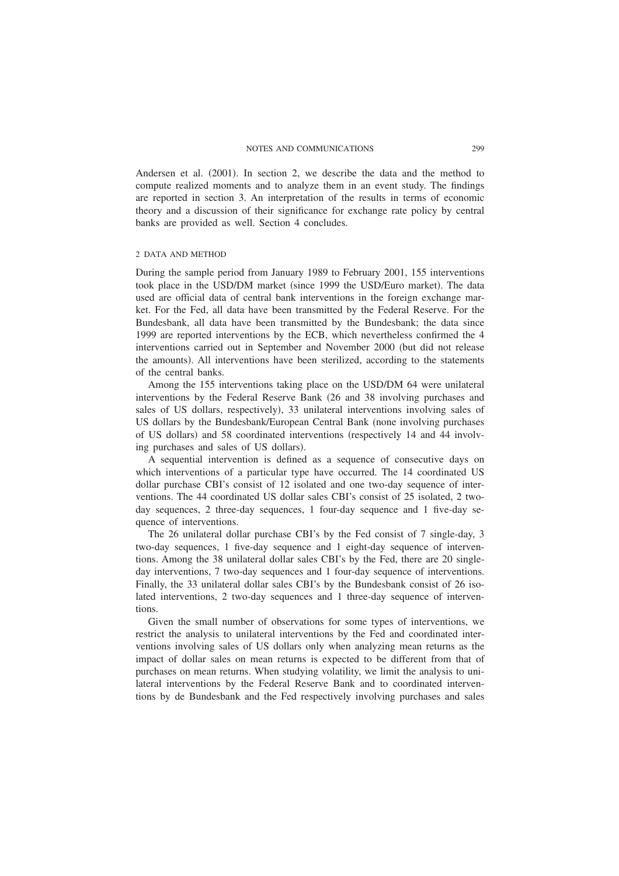Andersen et al.  $(2001)$ . In section 2, we describe the data and the method to compute realized moments and to analyze them in an event study. The findings are reported in section 3. An interpretation of the results in terms of economic theory and a discussion of their significance for exchange rate policy by central banks are provided as well. Section 4 concludes.

## 2 DATA AND METHOD

During the sample period from January 1989 to February 2001, 155 interventions took place in the USD/DM market (since 1999 the USD/Euro market). The data used are official data of central bank interventions in the foreign exchange market. For the Fed, all data have been transmitted by the Federal Reserve. For the Bundesbank, all data have been transmitted by the Bundesbank; the data since 1999 are reported interventions by the ECB, which nevertheless confirmed the 4 interventions carried out in September and November 2000 (but did not release the amounts). All interventions have been sterilized, according to the statements of the central banks.

Among the 155 interventions taking place on the USD/DM 64 were unilateral interventions by the Federal Reserve Bank (26 and 38 involving purchases and sales of US dollars, respectively), 33 unilateral interventions involving sales of US dollars by the Bundesbank/European Central Bank (none involving purchases of US dollars) and 58 coordinated interventions (respectively 14 and 44 involving purchases and sales of US dollars).

A sequential intervention is defined as a sequence of consecutive days on which interventions of a particular type have occurred. The 14 coordinated US dollar purchase CBI's consist of 12 isolated and one two-day sequence of interventions. The 44 coordinated US dollar sales CBI's consist of 25 isolated, 2 twoday sequences, 2 three-day sequences, 1 four-day sequence and 1 five-day sequence of interventions.

The 26 unilateral dollar purchase CBI's by the Fed consist of 7 single-day, 3 two-day sequences, 1 five-day sequence and 1 eight-day sequence of interventions. Among the 38 unilateral dollar sales CBI's by the Fed, there are 20 singleday interventions, 7 two-day sequences and 1 four-day sequence of interventions. Finally, the 33 unilateral dollar sales CBI's by the Bundesbank consist of 26 isolated interventions, 2 two-day sequences and 1 three-day sequence of interventions.

Given the small number of observations for some types of interventions, we restrict the analysis to unilateral interventions by the Fed and coordinated interventions involving sales of US dollars only when analyzing mean returns as the impact of dollar sales on mean returns is expected to be different from that of purchases on mean returns. When studying volatility, we limit the analysis to unilateral interventions by the Federal Reserve Bank and to coordinated interventions by de Bundesbank and the Fed respectively involving purchases and sales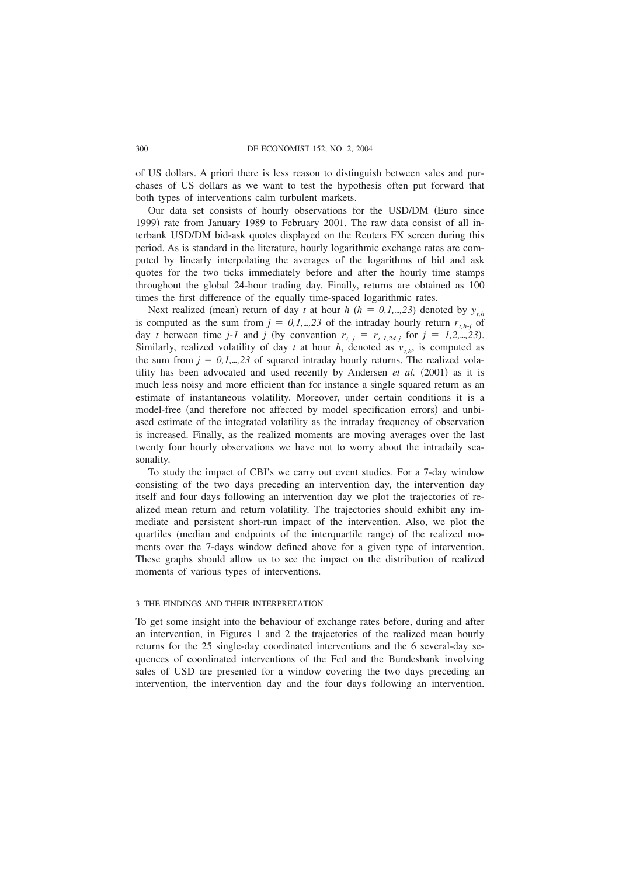### 300 DE ECONOMIST 152, NO. 2, 2004

of US dollars. A priori there is less reason to distinguish between sales and purchases of US dollars as we want to test the hypothesis often put forward that both types of interventions calm turbulent markets.

Our data set consists of hourly observations for the USD/DM (Euro since 1999) rate from January 1989 to February 2001. The raw data consist of all interbank USD/DM bid-ask quotes displayed on the Reuters FX screen during this period. As is standard in the literature, hourly logarithmic exchange rates are computed by linearly interpolating the averages of the logarithms of bid and ask quotes for the two ticks immediately before and after the hourly time stamps throughout the global 24-hour trading day. Finally, returns are obtained as 100 times the first difference of the equally time-spaced logarithmic rates.

Next realized (mean) return of day *t* at hour *h* ( $h = 0, 1, \ldots, 23$ ) denoted by  $y_{th}$ is computed as the sum from  $j = 0,1,...,23$  of the intraday hourly return  $r_{th-j}$  of day *t* between time *j-1* and *j* (by convention  $r_{t,i} = r_{t-1,24-j}$  for  $j = 1,2,...,23$ ). Similarly, realized volatility of day *t* at hour *h*, denoted as  $v_{th}$ , is computed as the sum from  $j = 0,1,...,23$  of squared intraday hourly returns. The realized volatility has been advocated and used recently by Andersen *et al.*  $(2001)$  as it is much less noisy and more efficient than for instance a single squared return as an estimate of instantaneous volatility. Moreover, under certain conditions it is a model-free (and therefore not affected by model specification errors) and unbiased estimate of the integrated volatility as the intraday frequency of observation is increased. Finally, as the realized moments are moving averages over the last twenty four hourly observations we have not to worry about the intradaily seasonality.

To study the impact of CBI's we carry out event studies. For a 7-day window consisting of the two days preceding an intervention day, the intervention day itself and four days following an intervention day we plot the trajectories of realized mean return and return volatility. The trajectories should exhibit any immediate and persistent short-run impact of the intervention. Also, we plot the quartiles (median and endpoints of the interquartile range) of the realized moments over the 7-days window defined above for a given type of intervention. These graphs should allow us to see the impact on the distribution of realized moments of various types of interventions.

## 3 THE FINDINGS AND THEIR INTERPRETATION

To get some insight into the behaviour of exchange rates before, during and after an intervention, in Figures 1 and 2 the trajectories of the realized mean hourly returns for the 25 single-day coordinated interventions and the 6 several-day sequences of coordinated interventions of the Fed and the Bundesbank involving sales of USD are presented for a window covering the two days preceding an intervention, the intervention day and the four days following an intervention.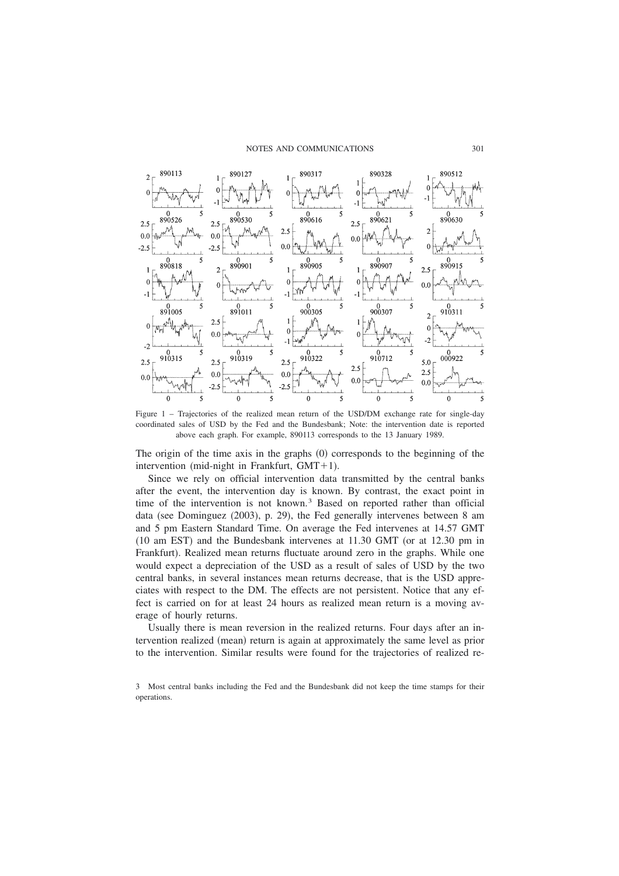

Figure 1 – Trajectories of the realized mean return of the USD/DM exchange rate for single-day coordinated sales of USD by the Fed and the Bundesbank; Note: the intervention date is reported above each graph. For example, 890113 corresponds to the 13 January 1989.

The origin of the time axis in the graphs  $(0)$  corresponds to the beginning of the intervention (mid-night in Frankfurt,  $GMT+1$ ).

Since we rely on official intervention data transmitted by the central banks after the event, the intervention day is known. By contrast, the exact point in time of the intervention is not known.<sup>3</sup> Based on reported rather than official data (see Dominguez (2003), p. 29), the Fed generally intervenes between 8 am and 5 pm Eastern Standard Time. On average the Fed intervenes at 14.57 GMT  $(10 \text{ am EST})$  and the Bundesbank intervenes at  $11.30$  GMT (or at  $12.30$  pm in Frankfurt). Realized mean returns fluctuate around zero in the graphs. While one would expect a depreciation of the USD as a result of sales of USD by the two central banks, in several instances mean returns decrease, that is the USD appreciates with respect to the DM. The effects are not persistent. Notice that any effect is carried on for at least 24 hours as realized mean return is a moving average of hourly returns.

Usually there is mean reversion in the realized returns. Four days after an intervention realized (mean) return is again at approximately the same level as prior to the intervention. Similar results were found for the trajectories of realized re-

3 Most central banks including the Fed and the Bundesbank did not keep the time stamps for their operations.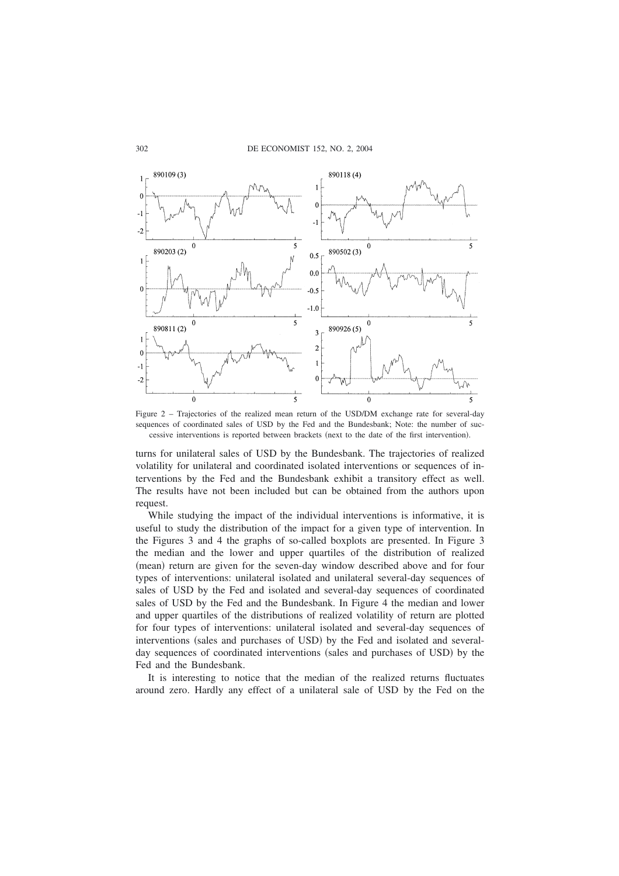

Figure2–Trajectories of the realized mean return of the USD/DM exchange rate for several-day sequences of coordinated sales of USD by the Fed and the Bundesbank; Note: the number of successive interventions is reported between brackets (next to the date of the first intervention).

turns for unilateral sales of USD by the Bundesbank. The trajectories of realized volatility for unilateral and coordinated isolated interventions or sequences of interventions by the Fed and the Bundesbank exhibit a transitory effect as well. The results have not been included but can be obtained from the authors upon request.

While studying the impact of the individual interventions is informative, it is useful to study the distribution of the impact for a given type of intervention. In the Figures 3 and 4 the graphs of so-called boxplots are presented. In Figure 3 the median and the lower and upper quartiles of the distribution of realized (mean) return are given for the seven-day window described above and for four types of interventions: unilateral isolated and unilateral several-day sequences of sales of USD by the Fed and isolated and several-day sequences of coordinated sales of USD by the Fed and the Bundesbank. In Figure 4 the median and lower and upper quartiles of the distributions of realized volatility of return are plotted for four types of interventions: unilateral isolated and several-day sequences of interventions (sales and purchases of USD) by the Fed and isolated and severalday sequences of coordinated interventions (sales and purchases of USD) by the Fed and the Bundesbank.

It is interesting to notice that the median of the realized returns fluctuates around zero. Hardly any effect of a unilateral sale of USD by the Fed on the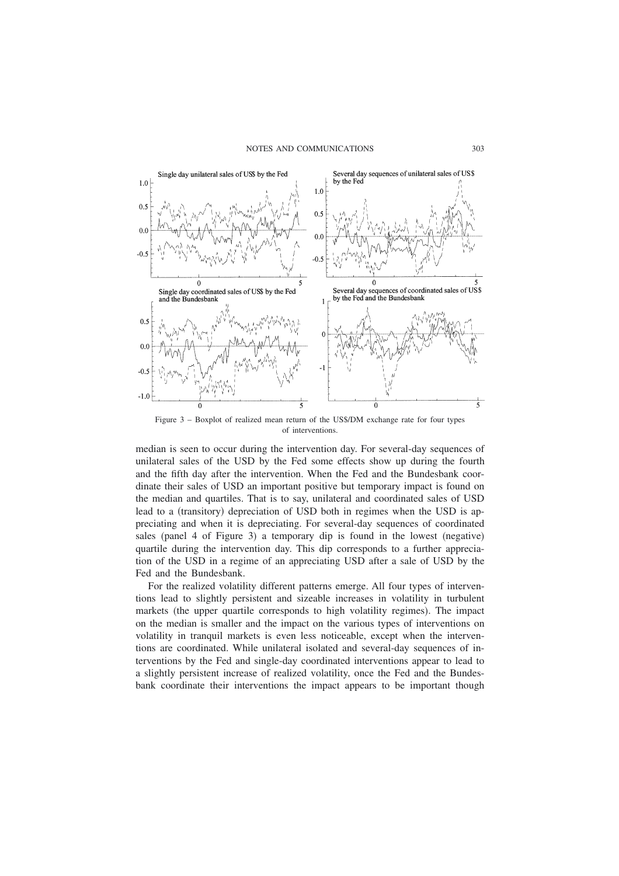

Figure 3 – Boxplot of realized mean return of the US\$/DM exchange rate for four types of interventions.

median is seen to occur during the intervention day. For several-day sequences of unilateral sales of the USD by the Fed some effects show up during the fourth and the fifth day after the intervention. When the Fed and the Bundesbank coordinate their sales of USD an important positive but temporary impact is found on the median and quartiles. That is to say, unilateral and coordinated sales of USD lead to a (transitory) depreciation of USD both in regimes when the USD is appreciating and when it is depreciating. For several-day sequences of coordinated sales (panel 4 of Figure 3) a temporary dip is found in the lowest (negative) quartile during the intervention day. This dip corresponds to a further appreciation of the USD in a regime of an appreciating USD after a sale of USD by the Fed and the Bundesbank.

For the realized volatility different patterns emerge. All four types of interventions lead to slightly persistent and sizeable increases in volatility in turbulent markets (the upper quartile corresponds to high volatility regimes). The impact on the median is smaller and the impact on the various types of interventions on volatility in tranquil markets is even less noticeable, except when the interventions are coordinated. While unilateral isolated and several-day sequences of interventions by the Fed and single-day coordinated interventions appear to lead to a slightly persistent increase of realized volatility, once the Fed and the Bundesbank coordinate their interventions the impact appears to be important though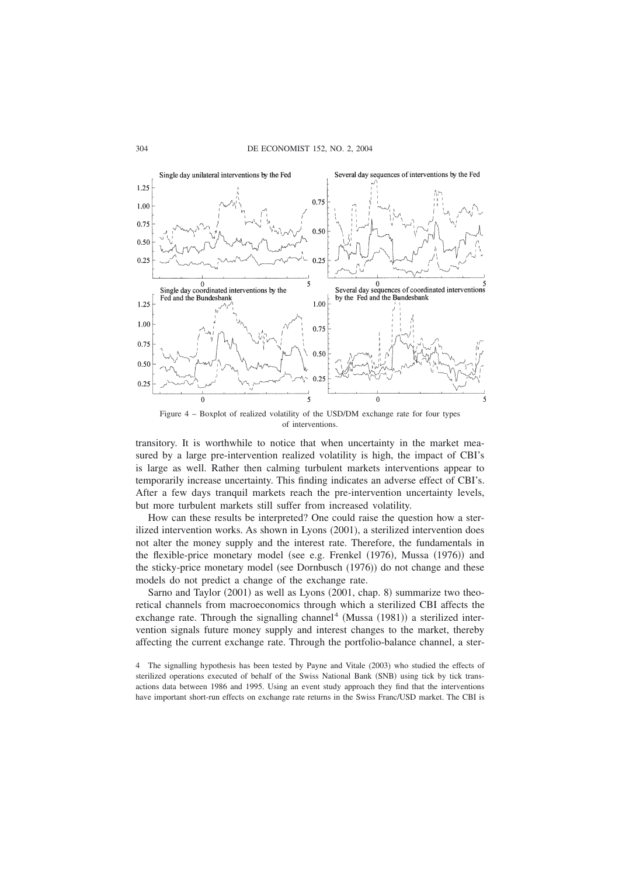

Figure 4 – Boxplot of realized volatility of the USD/DM exchange rate for four types of interventions.

transitory. It is worthwhile to notice that when uncertainty in the market measured by a large pre-intervention realized volatility is high, the impact of CBI's is large as well. Rather then calming turbulent markets interventions appear to temporarily increase uncertainty. This finding indicates an adverse effect of CBI's. After a few days tranquil markets reach the pre-intervention uncertainty levels, but more turbulent markets still suffer from increased volatility.

How can these results be interpreted? One could raise the question how a sterilized intervention works. As shown in Lyons  $(2001)$ , a sterilized intervention does not alter the money supply and the interest rate. Therefore, the fundamentals in the flexible-price monetary model (see e.g. Frenkel  $(1976)$ , Mussa  $(1976)$ ) and the sticky-price monetary model (see Dornbusch (1976)) do not change and these models do not predict a change of the exchange rate.

Sarno and Taylor  $(2001)$  as well as Lyons  $(2001,$  chap. 8) summarize two theoretical channels from macroeconomics through which a sterilized CBI affects the exchange rate. Through the signalling channel<sup>4</sup> (Mussa  $(1981)$ ) a sterilized intervention signals future money supply and interest changes to the market, thereby affecting the current exchange rate. Through the portfolio-balance channel, a ster-

<sup>4</sup> The signalling hypothesis has been tested by Payne and Vitale (2003) who studied the effects of sterilized operations executed of behalf of the Swiss National Bank (SNB) using tick by tick transactions data between 1986 and 1995. Using an event study approach they find that the interventions have important short-run effects on exchange rate returns in the Swiss Franc/USD market. The CBI is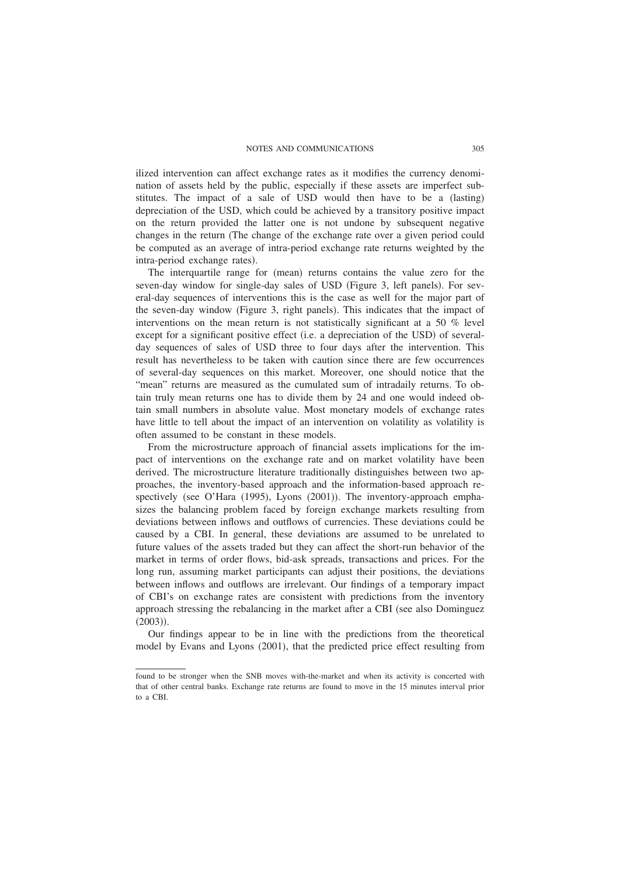ilized intervention can affect exchange rates as it modifies the currency denomination of assets held by the public, especially if these assets are imperfect substitutes. The impact of a sale of USD would then have to be a (lasting) depreciation of the USD, which could be achieved by a transitory positive impact on the return provided the latter one is not undone by subsequent negative changes in the return (The change of the exchange rate over a given period could be computed as an average of intra-period exchange rate returns weighted by the intra-period exchange rates).

The interquartile range for (mean) returns contains the value zero for the seven-day window for single-day sales of USD (Figure 3, left panels). For several-day sequences of interventions this is the case as well for the major part of the seven-day window (Figure 3, right panels). This indicates that the impact of interventions on the mean return is not statistically significant at a 50 % level except for a significant positive effect (i.e. a depreciation of the USD) of severalday sequences of sales of USD three to four days after the intervention. This result has nevertheless to be taken with caution since there are few occurrences of several-day sequences on this market. Moreover, one should notice that the "mean" returns are measured as the cumulated sum of intradaily returns. To obtain truly mean returns one has to divide them by 24 and one would indeed obtain small numbers in absolute value. Most monetary models of exchange rates have little to tell about the impact of an intervention on volatility as volatility is often assumed to be constant in these models.

From the microstructure approach of financial assets implications for the impact of interventions on the exchange rate and on market volatility have been derived. The microstructure literature traditionally distinguishes between two approaches, the inventory-based approach and the information-based approach respectively (see O'Hara (1995), Lyons (2001)). The inventory-approach emphasizes the balancing problem faced by foreign exchange markets resulting from deviations between inflows and outflows of currencies. These deviations could be caused by a CBI. In general, these deviations are assumed to be unrelated to future values of the assets traded but they can affect the short-run behavior of the market in terms of order flows, bid-ask spreads, transactions and prices. For the long run, assuming market participants can adjust their positions, the deviations between inflows and outflows are irrelevant. Our findings of a temporary impact of CBI's on exchange rates are consistent with predictions from the inventory approach stressing the rebalancing in the market after a CBI (see also Dominguez  $(2003)$ .

Our findings appear to be in line with the predictions from the theoretical model by Evans and Lyons (2001), that the predicted price effect resulting from

found to be stronger when the SNB moves with-the-market and when its activity is concerted with that of other central banks. Exchange rate returns are found to move in the 15 minutes interval prior to a CBI.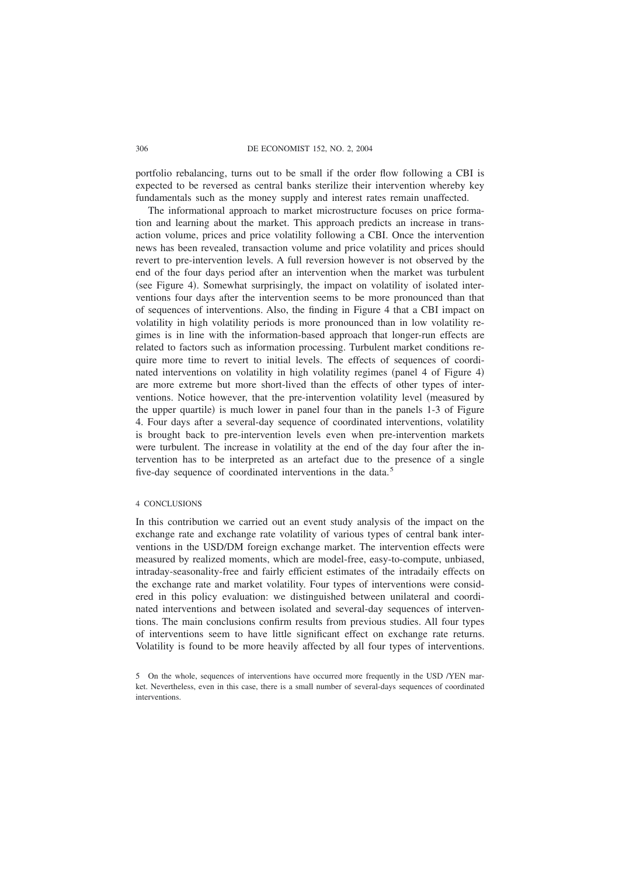### 306 DE ECONOMIST 152, NO. 2, 2004

portfolio rebalancing, turns out to be small if the order flow following a CBI is expected to be reversed as central banks sterilize their intervention whereby key fundamentals such as the money supply and interest rates remain unaffected.

The informational approach to market microstructure focuses on price formation and learning about the market. This approach predicts an increase in transaction volume, prices and price volatility following a CBI. Once the intervention news has been revealed, transaction volume and price volatility and prices should revert to pre-intervention levels. A full reversion however is not observed by the end of the four days period after an intervention when the market was turbulent (see Figure 4). Somewhat surprisingly, the impact on volatility of isolated interventions four days after the intervention seems to be more pronounced than that of sequences of interventions. Also, the finding in Figure 4 that a CBI impact on volatility in high volatility periods is more pronounced than in low volatility regimes is in line with the information-based approach that longer-run effects are related to factors such as information processing. Turbulent market conditions require more time to revert to initial levels. The effects of sequences of coordinated interventions on volatility in high volatility regimes (panel 4 of Figure 4) are more extreme but more short-lived than the effects of other types of interventions. Notice however, that the pre-intervention volatility level (measured by the upper quartile) is much lower in panel four than in the panels 1-3 of Figure 4. Four days after a several-day sequence of coordinated interventions, volatility is brought back to pre-intervention levels even when pre-intervention markets were turbulent. The increase in volatility at the end of the day four after the intervention has to be interpreted as an artefact due to the presence of a single five-day sequence of coordinated interventions in the data.<sup>5</sup>

## 4 CONCLUSIONS

In this contribution we carried out an event study analysis of the impact on the exchange rate and exchange rate volatility of various types of central bank interventions in the USD/DM foreign exchange market. The intervention effects were measured by realized moments, which are model-free, easy-to-compute, unbiased, intraday-seasonality-free and fairly efficient estimates of the intradaily effects on the exchange rate and market volatility. Four types of interventions were considered in this policy evaluation: we distinguished between unilateral and coordinated interventions and between isolated and several-day sequences of interventions. The main conclusions confirm results from previous studies. All four types of interventions seem to have little significant effect on exchange rate returns. Volatility is found to be more heavily affected by all four types of interventions.

<sup>5</sup> On the whole, sequences of interventions have occurred more frequently in the USD /YEN market. Nevertheless, even in this case, there is a small number of several-days sequences of coordinated interventions.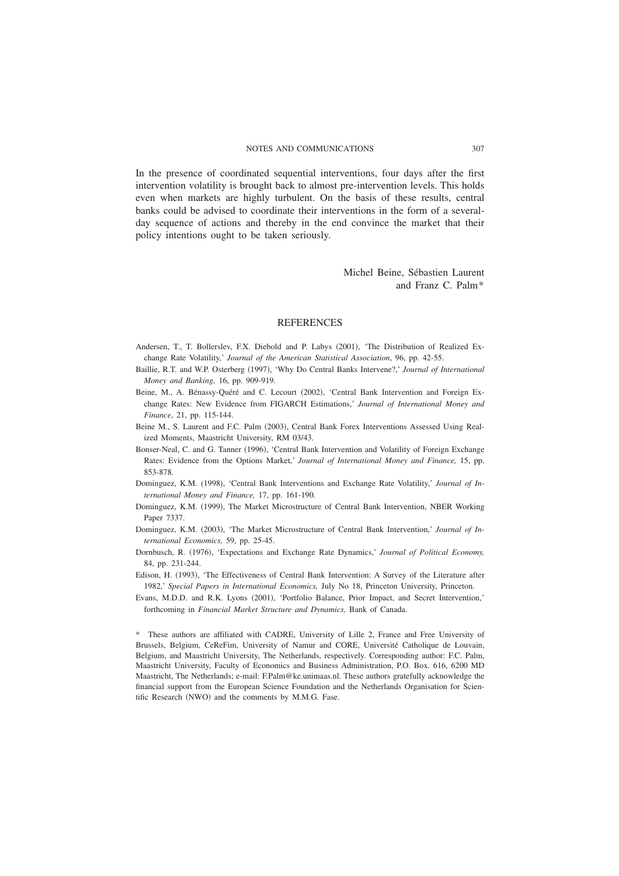In the presence of coordinated sequential interventions, four days after the first intervention volatility is brought back to almost pre-intervention levels. This holds even when markets are highly turbulent. On the basis of these results, central banks could be advised to coordinate their interventions in the form of a severalday sequence of actions and thereby in the end convince the market that their policy intentions ought to be taken seriously.

# Michel Beine, Sébastien Laurent and Franz C. Palm\*

### **REFERENCES**

- Andersen, T., T. Bollerslev, F.X. Diebold and P. Labys (2001), 'The Distribution of Realized Exchange Rate Volatility,' *Journal of the American Statistical Association*, 96, pp. 42-55.
- Baillie, R.T. and W.P. Osterberg (1997), 'Why Do Central Banks Intervene?,' Journal of International *Money and Banking,* 16, pp. 909-919*.*
- Beine, M., A. Bénassy-Quéré and C. Lecourt (2002), 'Central Bank Intervention and Foreign Exchange Rates: New Evidence from FIGARCH Estimations,' *Journal of International Money and Finance*, 21, pp. 115-144.
- Beine M., S. Laurent and F.C. Palm (2003), Central Bank Forex Interventions Assessed Using Realized Moments, Maastricht University, RM 03/43.
- Bonser-Neal, C. and G. Tanner (1996), 'Central Bank Intervention and Volatility of Foreign Exchange Rates: Evidence from the Options Market,' *Journal of International Money and Finance,* 15, pp. 853-878*.*
- Dominguez, K.M. (1998), 'Central Bank Interventions and Exchange Rate Volatility,' *Journal of International Money and Finance,* 17, pp. 161-190*.*
- Dominguez, K.M. (1999), The Market Microstructure of Central Bank Intervention, NBER Working Paper 7337.
- Dominguez, K.M. (2003), 'The Market Microstructure of Central Bank Intervention,' *Journal of International Economics,* 59, pp. 25-45.
- Dornbusch, R. (1976), 'Expectations and Exchange Rate Dynamics,' *Journal of Political Economy*, 84, pp. 231-244.
- Edison, H. (1993), 'The Effectiveness of Central Bank Intervention: A Survey of the Literature after 1982,' *Special Papers in International Economics,* July No 18, Princeton University, Princeton.
- Evans, M.D.D. and R.K. Lyons (2001), 'Portfolio Balance, Prior Impact, and Secret Intervention,' forthcoming in *Financial Market Structure and Dynamics,* Bank of Canada.

\* These authors are affiliated with CADRE, University of Lille 2, France and Free University of Brussels, Belgium, CeReFim, University of Namur and CORE, Université Catholique de Louvain, Belgium, and Maastricht University, The Netherlands, respectively. Corresponding author: F.C. Palm, Maastricht University, Faculty of Economics and Business Administration, P.O. Box. 616, 6200 MD Maastricht, The Netherlands; e-mail: F.Palm@ke.unimaas.nl. These authors gratefully acknowledge the financial support from the European Science Foundation and the Netherlands Organisation for Scientific Research (NWO) and the comments by M.M.G. Fase.